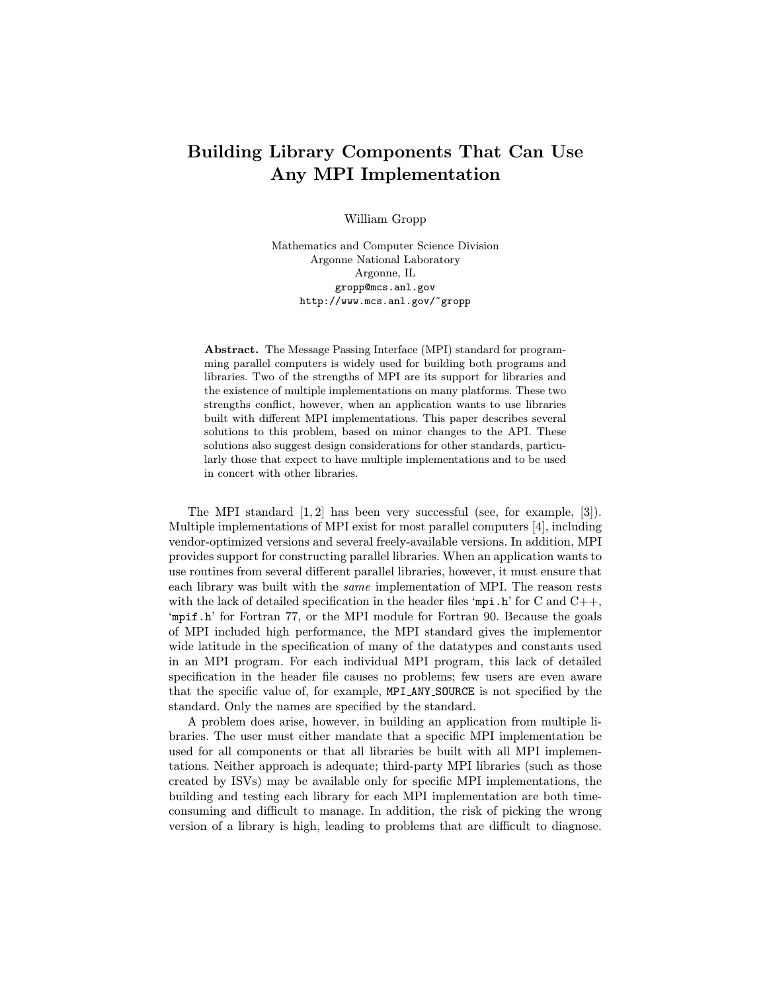# Building Library Components That Can Use Any MPI Implementation

William Gropp

Mathematics and Computer Science Division Argonne National Laboratory Argonne, IL gropp@mcs.anl.gov http://www.mcs.anl.gov/~gropp

Abstract. The Message Passing Interface (MPI) standard for programming parallel computers is widely used for building both programs and libraries. Two of the strengths of MPI are its support for libraries and the existence of multiple implementations on many platforms. These two strengths conflict, however, when an application wants to use libraries built with different MPI implementations. This paper describes several solutions to this problem, based on minor changes to the API. These solutions also suggest design considerations for other standards, particularly those that expect to have multiple implementations and to be used in concert with other libraries.

The MPI standard  $[1, 2]$  has been very successful (see, for example,  $[3]$ ). Multiple implementations of MPI exist for most parallel computers [4], including vendor-optimized versions and several freely-available versions. In addition, MPI provides support for constructing parallel libraries. When an application wants to use routines from several different parallel libraries, however, it must ensure that each library was built with the same implementation of MPI. The reason rests with the lack of detailed specification in the header files 'mpi.h' for C and  $C++$ , 'mpif.h' for Fortran 77, or the MPI module for Fortran 90. Because the goals of MPI included high performance, the MPI standard gives the implementor wide latitude in the specification of many of the datatypes and constants used in an MPI program. For each individual MPI program, this lack of detailed specification in the header file causes no problems; few users are even aware that the specific value of, for example, MPI ANY SOURCE is not specified by the standard. Only the names are specified by the standard.

A problem does arise, however, in building an application from multiple libraries. The user must either mandate that a specific MPI implementation be used for all components or that all libraries be built with all MPI implementations. Neither approach is adequate; third-party MPI libraries (such as those created by ISVs) may be available only for specific MPI implementations, the building and testing each library for each MPI implementation are both timeconsuming and difficult to manage. In addition, the risk of picking the wrong version of a library is high, leading to problems that are difficult to diagnose.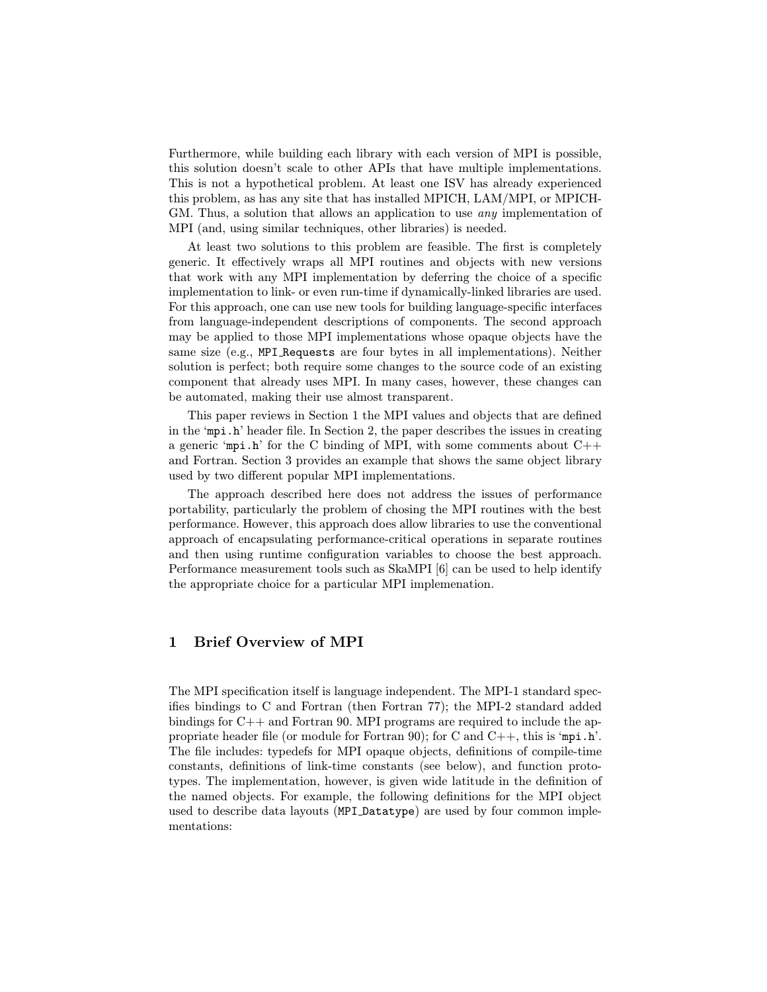Furthermore, while building each library with each version of MPI is possible, this solution doesn't scale to other APIs that have multiple implementations. This is not a hypothetical problem. At least one ISV has already experienced this problem, as has any site that has installed MPICH, LAM/MPI, or MPICH-GM. Thus, a solution that allows an application to use *any* implementation of MPI (and, using similar techniques, other libraries) is needed.

At least two solutions to this problem are feasible. The first is completely generic. It effectively wraps all MPI routines and objects with new versions that work with any MPI implementation by deferring the choice of a specific implementation to link- or even run-time if dynamically-linked libraries are used. For this approach, one can use new tools for building language-specific interfaces from language-independent descriptions of components. The second approach may be applied to those MPI implementations whose opaque objects have the same size (e.g., MPI Requests are four bytes in all implementations). Neither solution is perfect; both require some changes to the source code of an existing component that already uses MPI. In many cases, however, these changes can be automated, making their use almost transparent.

This paper reviews in Section 1 the MPI values and objects that are defined in the 'mpi.h' header file. In Section 2, the paper describes the issues in creating a generic 'mpi.h' for the C binding of MPI, with some comments about  $C++$ and Fortran. Section 3 provides an example that shows the same object library used by two different popular MPI implementations.

The approach described here does not address the issues of performance portability, particularly the problem of chosing the MPI routines with the best performance. However, this approach does allow libraries to use the conventional approach of encapsulating performance-critical operations in separate routines and then using runtime configuration variables to choose the best approach. Performance measurement tools such as SkaMPI [6] can be used to help identify the appropriate choice for a particular MPI implemenation.

#### 1 Brief Overview of MPI

The MPI specification itself is language independent. The MPI-1 standard specifies bindings to C and Fortran (then Fortran 77); the MPI-2 standard added bindings for C++ and Fortran 90. MPI programs are required to include the appropriate header file (or module for Fortran 90); for C and  $C_{++}$ , this is 'mpi.h'. The file includes: typedefs for MPI opaque objects, definitions of compile-time constants, definitions of link-time constants (see below), and function prototypes. The implementation, however, is given wide latitude in the definition of the named objects. For example, the following definitions for the MPI object used to describe data layouts (MPI Datatype) are used by four common implementations: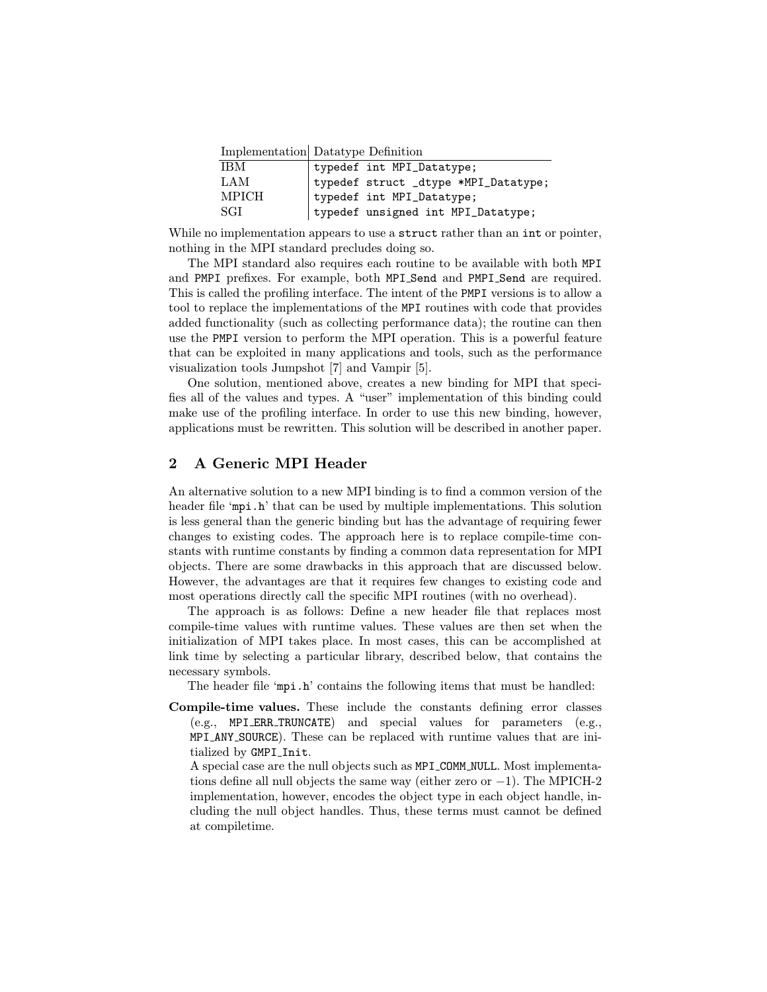|              | Implementation Datatype Definition   |
|--------------|--------------------------------------|
| <b>IBM</b>   | typedef int MPI_Datatype;            |
| LAM          | typedef struct _dtype *MPI_Datatype; |
| <b>MPICH</b> | typedef int MPI_Datatype;            |
| SGI          | typedef unsigned int MPI_Datatype;   |

While no implementation appears to use a struct rather than an int or pointer, nothing in the MPI standard precludes doing so.

The MPI standard also requires each routine to be available with both MPI and PMPI prefixes. For example, both MPI Send and PMPI Send are required. This is called the profiling interface. The intent of the PMPI versions is to allow a tool to replace the implementations of the MPI routines with code that provides added functionality (such as collecting performance data); the routine can then use the PMPI version to perform the MPI operation. This is a powerful feature that can be exploited in many applications and tools, such as the performance visualization tools Jumpshot [7] and Vampir [5].

One solution, mentioned above, creates a new binding for MPI that specifies all of the values and types. A "user" implementation of this binding could make use of the profiling interface. In order to use this new binding, however, applications must be rewritten. This solution will be described in another paper.

### 2 A Generic MPI Header

An alternative solution to a new MPI binding is to find a common version of the header file 'mpi.h' that can be used by multiple implementations. This solution is less general than the generic binding but has the advantage of requiring fewer changes to existing codes. The approach here is to replace compile-time constants with runtime constants by finding a common data representation for MPI objects. There are some drawbacks in this approach that are discussed below. However, the advantages are that it requires few changes to existing code and most operations directly call the specific MPI routines (with no overhead).

The approach is as follows: Define a new header file that replaces most compile-time values with runtime values. These values are then set when the initialization of MPI takes place. In most cases, this can be accomplished at link time by selecting a particular library, described below, that contains the necessary symbols.

The header file 'mpi.h' contains the following items that must be handled:

Compile-time values. These include the constants defining error classes (e.g., MPI ERR TRUNCATE) and special values for parameters (e.g., MPI ANY SOURCE). These can be replaced with runtime values that are initialized by GMPI Init.

A special case are the null objects such as MPI COMM NULL. Most implementations define all null objects the same way (either zero or −1). The MPICH-2 implementation, however, encodes the object type in each object handle, including the null object handles. Thus, these terms must cannot be defined at compiletime.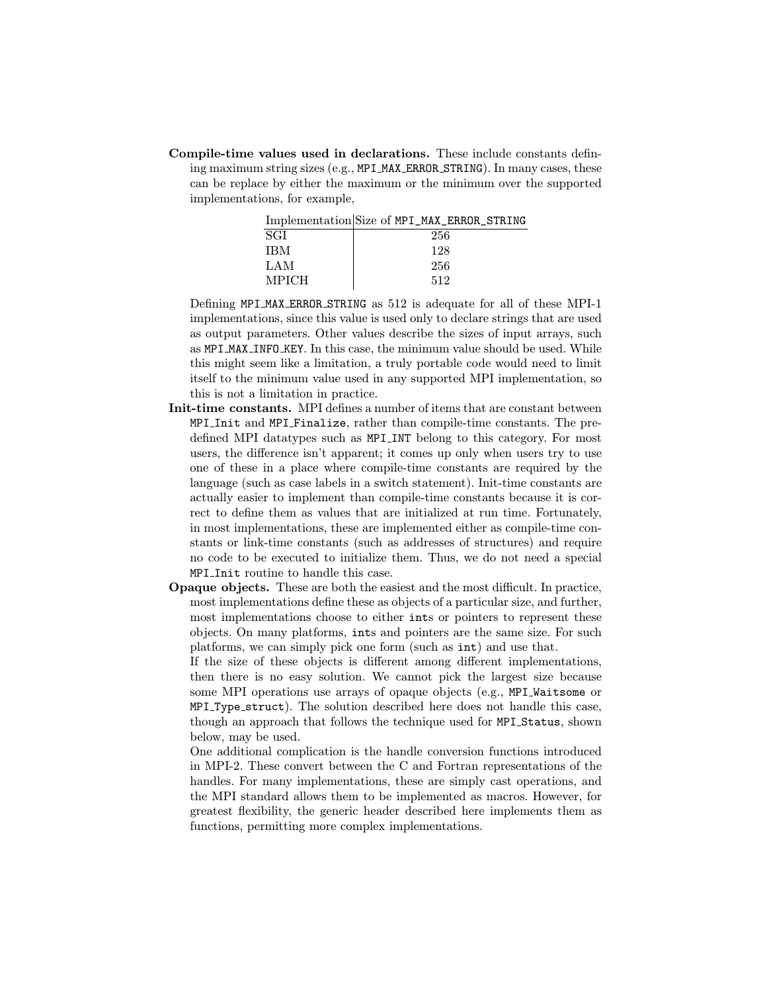Compile-time values used in declarations. These include constants defining maximum string sizes (e.g., MPI MAX ERROR STRING). In many cases, these can be replace by either the maximum or the minimum over the supported implementations, for example,

|              | Implementation Size of MPI_MAX_ERROR_STRING |
|--------------|---------------------------------------------|
| SGI          | 256                                         |
| <b>TRM</b>   | 128                                         |
| LAM          | 256                                         |
| <b>MPICH</b> | 512                                         |

Defining MPI MAX ERROR STRING as 512 is adequate for all of these MPI-1 implementations, since this value is used only to declare strings that are used as output parameters. Other values describe the sizes of input arrays, such as MPI MAX INFO KEY. In this case, the minimum value should be used. While this might seem like a limitation, a truly portable code would need to limit itself to the minimum value used in any supported MPI implementation, so this is not a limitation in practice.

- Init-time constants. MPI defines a number of items that are constant between MPI Init and MPI Finalize, rather than compile-time constants. The predefined MPI datatypes such as MPI INT belong to this category. For most users, the difference isn't apparent; it comes up only when users try to use one of these in a place where compile-time constants are required by the language (such as case labels in a switch statement). Init-time constants are actually easier to implement than compile-time constants because it is correct to define them as values that are initialized at run time. Fortunately, in most implementations, these are implemented either as compile-time constants or link-time constants (such as addresses of structures) and require no code to be executed to initialize them. Thus, we do not need a special MPI\_Init routine to handle this case.
- Opaque objects. These are both the easiest and the most difficult. In practice, most implementations define these as objects of a particular size, and further, most implementations choose to either ints or pointers to represent these objects. On many platforms, ints and pointers are the same size. For such platforms, we can simply pick one form (such as int) and use that.

If the size of these objects is different among different implementations, then there is no easy solution. We cannot pick the largest size because some MPI operations use arrays of opaque objects (e.g., MPI Waitsome or MPI Type struct). The solution described here does not handle this case, though an approach that follows the technique used for MPI Status, shown below, may be used.

One additional complication is the handle conversion functions introduced in MPI-2. These convert between the C and Fortran representations of the handles. For many implementations, these are simply cast operations, and the MPI standard allows them to be implemented as macros. However, for greatest flexibility, the generic header described here implements them as functions, permitting more complex implementations.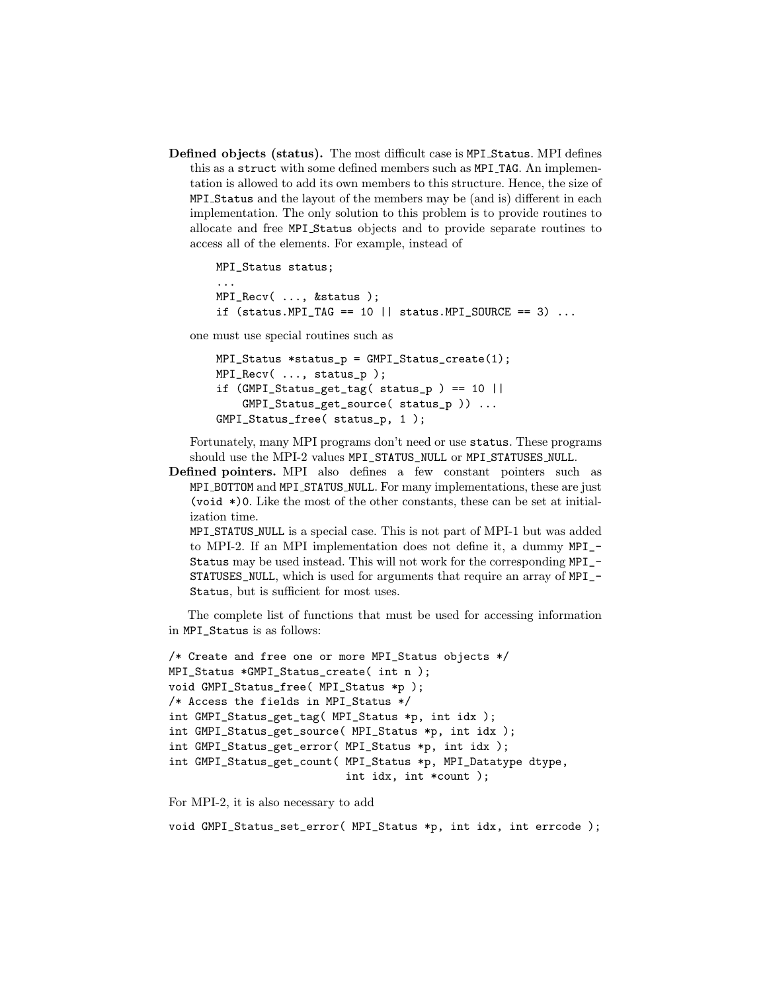Defined objects (status). The most difficult case is MPI Status. MPI defines this as a struct with some defined members such as MPI TAG. An implementation is allowed to add its own members to this structure. Hence, the size of MPI Status and the layout of the members may be (and is) different in each implementation. The only solution to this problem is to provide routines to allocate and free MPI Status objects and to provide separate routines to access all of the elements. For example, instead of

```
MPI_Status status;
...
MPI_Recv( ..., &status );
if (status.MPI_TAG == 10 || status.MPI_SOURCE == 3) ...
```
one must use special routines such as

```
MPI_Status *status_p = GMPI_Status_create(1);
MPI_Recv( ..., status_p );
if (GMPI_Status_get_tag( status_p ) == 10 ||
    GMPI_Status_get_source( status_p )) ...
GMPI_Status_free( status_p, 1 );
```
Fortunately, many MPI programs don't need or use status. These programs should use the MPI-2 values MPI\_STATUS\_NULL or MPI STATUSES NULL.

Defined pointers. MPI also defines a few constant pointers such as MPI BOTTOM and MPI STATUS NULL. For many implementations, these are just (void \*)0. Like the most of the other constants, these can be set at initialization time.

MPI STATUS NULL is a special case. This is not part of MPI-1 but was added to MPI-2. If an MPI implementation does not define it, a dummy MPI\_- Status may be used instead. This will not work for the corresponding MPI\_- STATUSES\_NULL, which is used for arguments that require an array of MPI\_- Status, but is sufficient for most uses.

The complete list of functions that must be used for accessing information in MPI\_Status is as follows:

```
/* Create and free one or more MPI_Status objects */
MPI_Status *GMPI_Status_create( int n );
void GMPI_Status_free( MPI_Status *p );
/* Access the fields in MPI_Status */
int GMPI_Status_get_tag( MPI_Status *p, int idx );
int GMPI_Status_get_source( MPI_Status *p, int idx );
int GMPI_Status_get_error( MPI_Status *p, int idx );
int GMPI_Status_get_count( MPI_Status *p, MPI_Datatype dtype,
                           int idx, int *count );
```
For MPI-2, it is also necessary to add

void GMPI\_Status\_set\_error( MPI\_Status \*p, int idx, int errcode );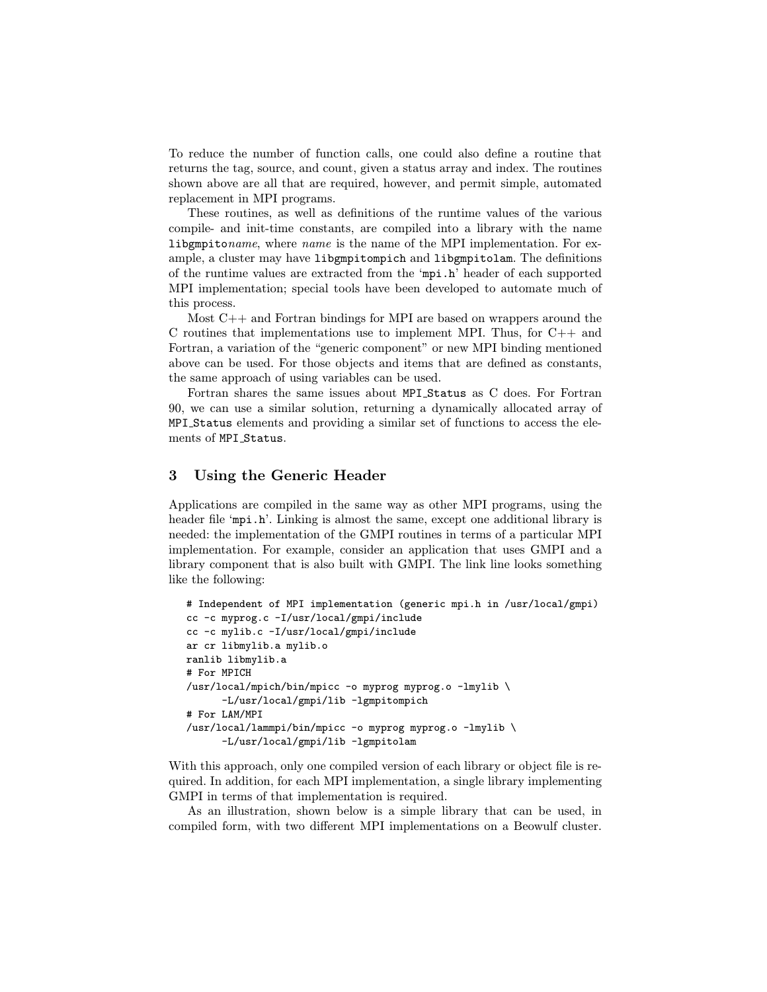To reduce the number of function calls, one could also define a routine that returns the tag, source, and count, given a status array and index. The routines shown above are all that are required, however, and permit simple, automated replacement in MPI programs.

These routines, as well as definitions of the runtime values of the various compile- and init-time constants, are compiled into a library with the name libgmpitoname, where name is the name of the MPI implementation. For example, a cluster may have libgmpitompich and libgmpitolam. The definitions of the runtime values are extracted from the 'mpi.h' header of each supported MPI implementation; special tools have been developed to automate much of this process.

Most C++ and Fortran bindings for MPI are based on wrappers around the C routines that implementations use to implement MPI. Thus, for  $C_{++}$  and Fortran, a variation of the "generic component" or new MPI binding mentioned above can be used. For those objects and items that are defined as constants, the same approach of using variables can be used.

Fortran shares the same issues about MPI Status as C does. For Fortran 90, we can use a similar solution, returning a dynamically allocated array of MPI Status elements and providing a similar set of functions to access the elements of MPI Status.

### 3 Using the Generic Header

Applications are compiled in the same way as other MPI programs, using the header file 'mpi.h'. Linking is almost the same, except one additional library is needed: the implementation of the GMPI routines in terms of a particular MPI implementation. For example, consider an application that uses GMPI and a library component that is also built with GMPI. The link line looks something like the following:

```
# Independent of MPI implementation (generic mpi.h in /usr/local/gmpi)
cc -c myprog.c -I/usr/local/gmpi/include
cc -c mylib.c -I/usr/local/gmpi/include
ar cr libmylib.a mylib.o
ranlib libmylib.a
# For MPICH
/usr/local/mpich/bin/mpicc -o myprog myprog.o -lmylib \
      -L/usr/local/gmpi/lib -lgmpitompich
# For LAM/MPI
/usr/local/lammpi/bin/mpicc -o myprog myprog.o -lmylib \
      -L/usr/local/gmpi/lib -lgmpitolam
```
With this approach, only one compiled version of each library or object file is required. In addition, for each MPI implementation, a single library implementing GMPI in terms of that implementation is required.

As an illustration, shown below is a simple library that can be used, in compiled form, with two different MPI implementations on a Beowulf cluster.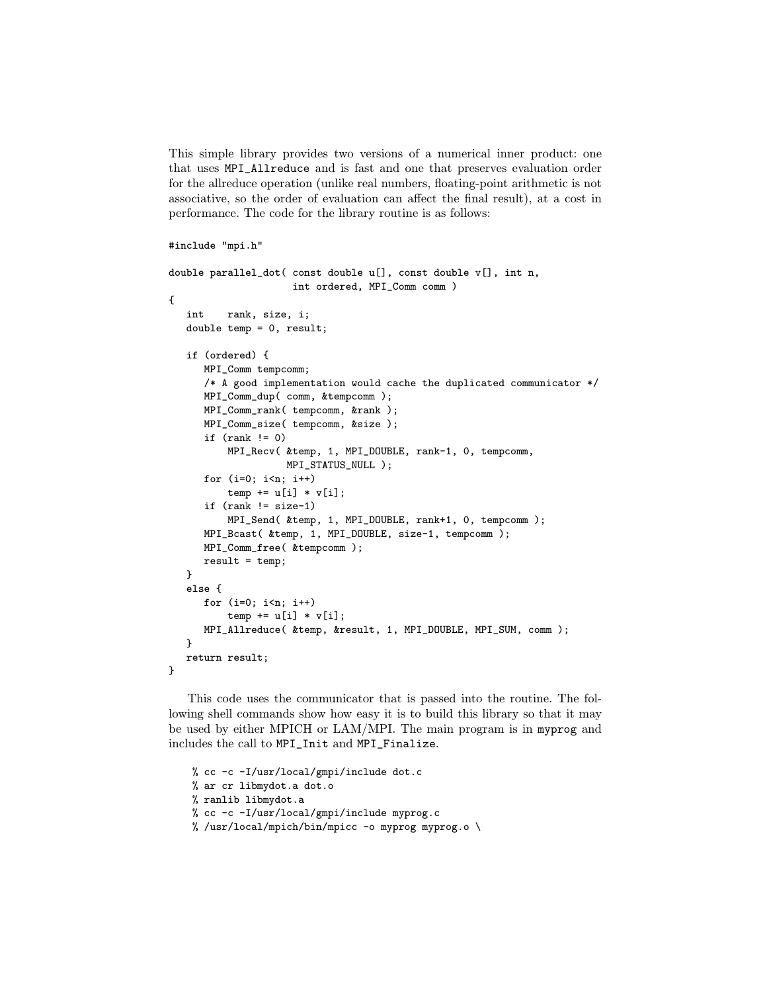This simple library provides two versions of a numerical inner product: one that uses MPI\_Allreduce and is fast and one that preserves evaluation order for the allreduce operation (unlike real numbers, floating-point arithmetic is not associative, so the order of evaluation can affect the final result), at a cost in performance. The code for the library routine is as follows:

```
#include "mpi.h"
```

```
double parallel_dot( const double u[], const double v[], int n,
                     int ordered, MPI_Comm comm )
{
   int rank, size, i;
  double temp = 0, result;
   if (ordered) {
     MPI_Comm tempcomm;
      /* A good implementation would cache the duplicated communicator */
     MPI_Comm_dup( comm, &tempcomm );
     MPI_Comm_rank( tempcomm, &rank );
     MPI_Comm_size( tempcomm, &size );
      if (rank != 0)
          MPI_Recv( &temp, 1, MPI_DOUBLE, rank-1, 0, tempcomm,
                    MPI_STATUS_NULL );
      for (i=0; i \le n; i++)temp += u[i] * v[i];
      if (rank != size-1)MPI_Send( &temp, 1, MPI_DOUBLE, rank+1, 0, tempcomm );
     MPI_Bcast( &temp, 1, MPI_DOUBLE, size-1, tempcomm );
     MPI_Comm_free( &tempcomm );
     result = temp;
   }
  else {
      for (i=0; i \le n; i++)temp += u[i] * v[i];MPI_Allreduce( &temp, &result, 1, MPI_DOUBLE, MPI_SUM, comm );
  }
  return result;
}
```
This code uses the communicator that is passed into the routine. The following shell commands show how easy it is to build this library so that it may be used by either MPICH or LAM/MPI. The main program is in myprog and includes the call to MPI\_Init and MPI\_Finalize.

```
% cc -c -I/usr/local/gmpi/include dot.c
% ar cr libmydot.a dot.o
% ranlib libmydot.a
% cc -c -I/usr/local/gmpi/include myprog.c
% /usr/local/mpich/bin/mpicc -o myprog myprog.o \
```